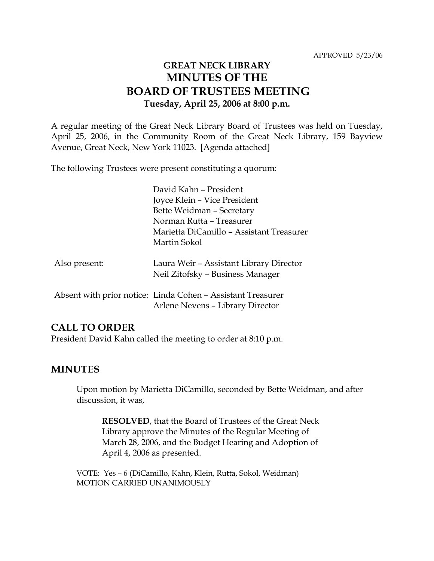# **GREAT NECK LIBRARY MINUTES OF THE BOARD OF TRUSTEES MEETING Tuesday, April 25, 2006 at 8:00 p.m.**

A regular meeting of the Great Neck Library Board of Trustees was held on Tuesday, April 25, 2006, in the Community Room of the Great Neck Library, 159 Bayview Avenue, Great Neck, New York 11023. [Agenda attached]

The following Trustees were present constituting a quorum:

|               | David Kahn - President                                      |
|---------------|-------------------------------------------------------------|
|               | Joyce Klein – Vice President                                |
|               | Bette Weidman - Secretary                                   |
|               | Norman Rutta - Treasurer                                    |
|               | Marietta DiCamillo - Assistant Treasurer                    |
|               | Martin Sokol                                                |
|               |                                                             |
| Also present: | Laura Weir - Assistant Library Director                     |
|               | Neil Zitofsky – Business Manager                            |
|               |                                                             |
|               | Absent with prior notice: Linda Cohen - Assistant Treasurer |
|               | Arlene Nevens - Library Director                            |
|               |                                                             |

#### **CALL TO ORDER**

President David Kahn called the meeting to order at 8:10 p.m.

### **MINUTES**

Upon motion by Marietta DiCamillo, seconded by Bette Weidman, and after discussion, it was,

**RESOLVED**, that the Board of Trustees of the Great Neck Library approve the Minutes of the Regular Meeting of March 28, 2006, and the Budget Hearing and Adoption of April 4, 2006 as presented.

VOTE:Yes – 6 (DiCamillo, Kahn, Klein, Rutta, Sokol, Weidman) MOTION CARRIED UNANIMOUSLY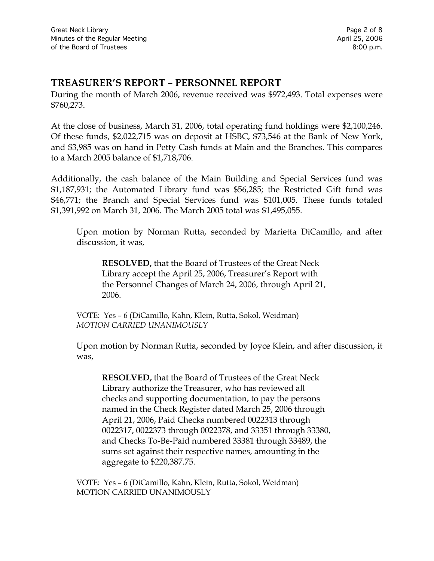## **TREASURER'S REPORT – PERSONNEL REPORT**

During the month of March 2006, revenue received was \$972,493. Total expenses were \$760,273.

At the close of business, March 31, 2006, total operating fund holdings were \$2,100,246. Of these funds, \$2,022,715 was on deposit at HSBC, \$73,546 at the Bank of New York, and \$3,985 was on hand in Petty Cash funds at Main and the Branches. This compares to a March 2005 balance of \$1,718,706.

Additionally, the cash balance of the Main Building and Special Services fund was \$1,187,931; the Automated Library fund was \$56,285; the Restricted Gift fund was \$46,771; the Branch and Special Services fund was \$101,005. These funds totaled \$1,391,992 on March 31, 2006. The March 2005 total was \$1,495,055.

Upon motion by Norman Rutta, seconded by Marietta DiCamillo, and after discussion, it was,

**RESOLVED,** that the Board of Trustees of the Great Neck Library accept the April 25, 2006, Treasurer's Report with the Personnel Changes of March 24, 2006, through April 21, 2006.

VOTE:Yes – 6 (DiCamillo, Kahn, Klein, Rutta, Sokol, Weidman) *MOTION CARRIED UNANIMOUSLY*

Upon motion by Norman Rutta, seconded by Joyce Klein, and after discussion, it was,

**RESOLVED,** that the Board of Trustees of the Great Neck Library authorize the Treasurer, who has reviewed all checks and supporting documentation, to pay the persons named in the Check Register dated March 25, 2006 through April 21, 2006, Paid Checks numbered 0022313 through 0022317, 0022373 through 0022378, and 33351 through 33380, and Checks To-Be-Paid numbered 33381 through 33489, the sums set against their respective names, amounting in the aggregate to \$220,387.75.

VOTE:Yes – 6 (DiCamillo, Kahn, Klein, Rutta, Sokol, Weidman) MOTION CARRIED UNANIMOUSLY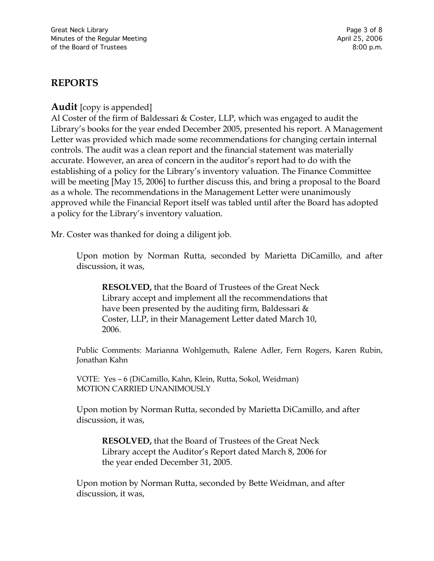## **REPORTS**

**Audit** [copy is appended]

Al Coster of the firm of Baldessari & Coster, LLP, which was engaged to audit the Library's books for the year ended December 2005, presented his report. A Management Letter was provided which made some recommendations for changing certain internal controls. The audit was a clean report and the financial statement was materially accurate. However, an area of concern in the auditor's report had to do with the establishing of a policy for the Library's inventory valuation. The Finance Committee will be meeting [May 15, 2006] to further discuss this, and bring a proposal to the Board as a whole. The recommendations in the Management Letter were unanimously approved while the Financial Report itself was tabled until after the Board has adopted a policy for the Library's inventory valuation.

Mr. Coster was thanked for doing a diligent job.

Upon motion by Norman Rutta, seconded by Marietta DiCamillo, and after discussion, it was,

**RESOLVED,** that the Board of Trustees of the Great Neck Library accept and implement all the recommendations that have been presented by the auditing firm, Baldessari  $\&$ Coster, LLP, in their Management Letter dated March 10, 2006.

Public Comments: Marianna Wohlgemuth, Ralene Adler, Fern Rogers, Karen Rubin, Jonathan Kahn

VOTE: Yes – 6 (DiCamillo, Kahn, Klein, Rutta, Sokol, Weidman) MOTION CARRIED UNANIMOUSLY

Upon motion by Norman Rutta, seconded by Marietta DiCamillo, and after discussion, it was,

**RESOLVED,** that the Board of Trustees of the Great Neck Library accept the Auditor's Report dated March 8, 2006 for the year ended December 31, 2005.

Upon motion by Norman Rutta, seconded by Bette Weidman, and after discussion, it was,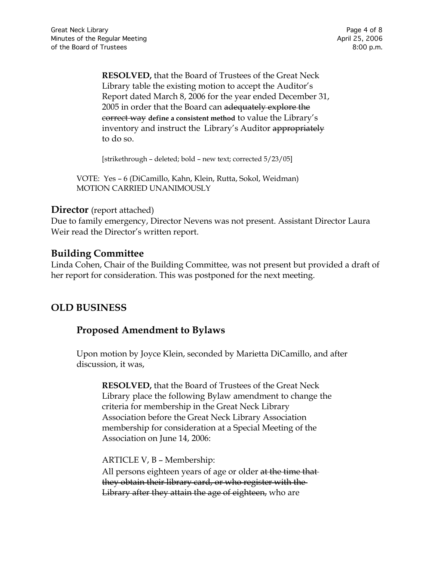**RESOLVED,** that the Board of Trustees of the Great Neck Library table the existing motion to accept the Auditor's Report dated March 8, 2006 for the year ended December 31, 2005 in order that the Board can adequately explore the correct way **define a consistent method** to value the Library's inventory and instruct the Library's Auditor appropriately to do so.

[strikethrough – deleted; bold – new text; corrected 5/23/05]

VOTE: Yes – 6 (DiCamillo, Kahn, Klein, Rutta, Sokol, Weidman) MOTION CARRIED UNANIMOUSLY

#### **Director** (report attached)

Due to family emergency, Director Nevens was not present. Assistant Director Laura Weir read the Director's written report.

#### **Building Committee**

Linda Cohen, Chair of the Building Committee, was not present but provided a draft of her report for consideration. This was postponed for the next meeting.

## **OLD BUSINESS**

### **Proposed Amendment to Bylaws**

Upon motion by Joyce Klein, seconded by Marietta DiCamillo, and after discussion, it was,

**RESOLVED,** that the Board of Trustees of the Great Neck Library place the following Bylaw amendment to change the criteria for membership in the Great Neck Library Association before the Great Neck Library Association membership for consideration at a Special Meeting of the Association on June 14, 2006:

ARTICLE V, B – Membership: All persons eighteen years of age or older at the time that they obtain their library card, or who register with the Library after they attain the age of eighteen, who are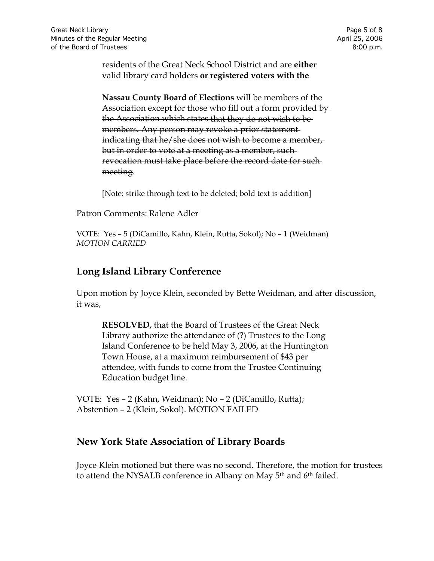residents of the Great Neck School District and are **either**  valid library card holders **or registered voters with the** 

**Nassau County Board of Elections** will be members of the Association except for those who fill out a form provided by the Association which states that they do not wish to be members. Any person may revoke a prior statement indicating that he/she does not wish to become a member, but in order to vote at a meeting as a member, such revocation must take place before the record date for such meeting.

[Note: strike through text to be deleted; bold text is addition]

Patron Comments: Ralene Adler

VOTE:Yes – 5 (DiCamillo, Kahn, Klein, Rutta, Sokol); No – 1 (Weidman) *MOTION CARRIED*

### **Long Island Library Conference**

Upon motion by Joyce Klein, seconded by Bette Weidman, and after discussion, it was,

**RESOLVED,** that the Board of Trustees of the Great Neck Library authorize the attendance of (?) Trustees to the Long Island Conference to be held May 3, 2006, at the Huntington Town House, at a maximum reimbursement of \$43 per attendee, with funds to come from the Trustee Continuing Education budget line.

VOTE:Yes – 2 (Kahn, Weidman); No – 2 (DiCamillo, Rutta); Abstention – 2 (Klein, Sokol). MOTION FAILED

### **New York State Association of Library Boards**

Joyce Klein motioned but there was no second. Therefore, the motion for trustees to attend the NYSALB conference in Albany on May 5<sup>th</sup> and 6<sup>th</sup> failed.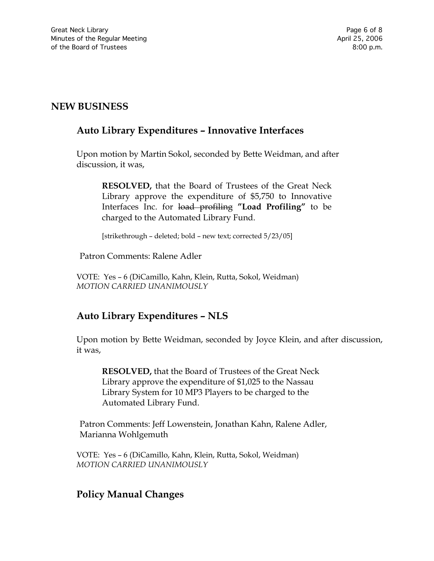# **NEW BUSINESS**

## **Auto Library Expenditures – Innovative Interfaces**

Upon motion by Martin Sokol, seconded by Bette Weidman, and after discussion, it was,

**RESOLVED,** that the Board of Trustees of the Great Neck Library approve the expenditure of \$5,750 to Innovative Interfaces Inc. for load profiling **"Load Profiling"** to be charged to the Automated Library Fund.

[strikethrough – deleted; bold – new text; corrected 5/23/05]

Patron Comments: Ralene Adler

VOTE:Yes – 6 (DiCamillo, Kahn, Klein, Rutta, Sokol, Weidman) *MOTION CARRIED UNANIMOUSLY*

## **Auto Library Expenditures – NLS**

Upon motion by Bette Weidman, seconded by Joyce Klein, and after discussion, it was,

**RESOLVED,** that the Board of Trustees of the Great Neck Library approve the expenditure of \$1,025 to the Nassau Library System for 10 MP3 Players to be charged to the Automated Library Fund.

Patron Comments: Jeff Lowenstein, Jonathan Kahn, Ralene Adler, Marianna Wohlgemuth

VOTE:Yes – 6 (DiCamillo, Kahn, Klein, Rutta, Sokol, Weidman) *MOTION CARRIED UNANIMOUSLY*

## **Policy Manual Changes**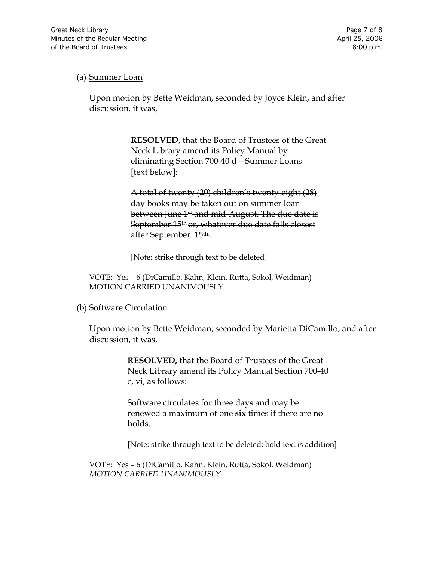#### (a) Summer Loan

Upon motion by Bette Weidman, seconded by Joyce Klein, and after discussion, it was,

> **RESOLVED**, that the Board of Trustees of the Great Neck Library amend its Policy Manual by eliminating Section 700-40 d – Summer Loans [text below]:

A total of twenty (20) children's twenty-eight (28) day books may be taken out on summer loan between June 1<sup>st</sup> and mid-August. The due date is September 15<sup>th</sup> or, whatever due date falls closest after September 15th..

[Note: strike through text to be deleted]

VOTE:Yes – 6 (DiCamillo, Kahn, Klein, Rutta, Sokol, Weidman) MOTION CARRIED UNANIMOUSLY

#### (b) Software Circulation

Upon motion by Bette Weidman, seconded by Marietta DiCamillo, and after discussion, it was,

> **RESOLVED,** that the Board of Trustees of the Great Neck Library amend its Policy Manual Section 700-40 c, vi, as follows:

Software circulates for three days and may be renewed a maximum of one **six** times if there are no holds.

[Note: strike through text to be deleted; bold text is addition]

VOTE:Yes – 6 (DiCamillo, Kahn, Klein, Rutta, Sokol, Weidman) *MOTION CARRIED UNANIMOUSLY*